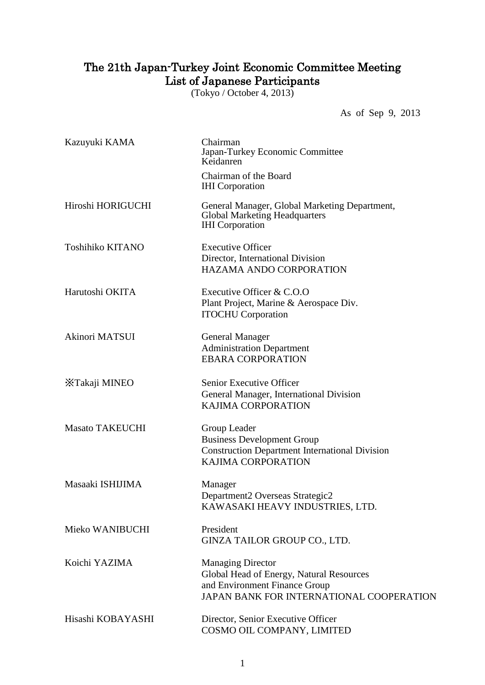## The 21th Japan-Turkey Joint Economic Committee Meeting List of Japanese Participants

(Tokyo / October 4, 2013)

As of Sep 9, 2013

| Kazuyuki KAMA           | Chairman<br>Japan-Turkey Economic Committee<br>Keidanren                                                                                          |
|-------------------------|---------------------------------------------------------------------------------------------------------------------------------------------------|
|                         | Chairman of the Board<br><b>IHI</b> Corporation                                                                                                   |
| Hiroshi HORIGUCHI       | General Manager, Global Marketing Department,<br><b>Global Marketing Headquarters</b><br><b>IHI</b> Corporation                                   |
| <b>Toshihiko KITANO</b> | <b>Executive Officer</b><br>Director, International Division<br><b>HAZAMA ANDO CORPORATION</b>                                                    |
| Harutoshi OKITA         | Executive Officer & C.O.O<br>Plant Project, Marine & Aerospace Div.<br><b>ITOCHU</b> Corporation                                                  |
| Akinori MATSUI          | <b>General Manager</b><br><b>Administration Department</b><br><b>EBARA CORPORATION</b>                                                            |
| XTakaji MINEO           | Senior Executive Officer<br>General Manager, International Division<br><b>KAJIMA CORPORATION</b>                                                  |
| <b>Masato TAKEUCHI</b>  | Group Leader<br><b>Business Development Group</b><br><b>Construction Department International Division</b><br><b>KAJIMA CORPORATION</b>           |
| Masaaki ISHIJIMA        | Manager<br>Department2 Overseas Strategic2<br>KAWASAKI HEAVY INDUSTRIES, LTD.                                                                     |
| Mieko WANIBUCHI         | President<br>GINZA TAILOR GROUP CO., LTD.                                                                                                         |
| Koichi YAZIMA           | <b>Managing Director</b><br>Global Head of Energy, Natural Resources<br>and Environment Finance Group<br>JAPAN BANK FOR INTERNATIONAL COOPERATION |
| Hisashi KOBAYASHI       | Director, Senior Executive Officer<br>COSMO OIL COMPANY, LIMITED                                                                                  |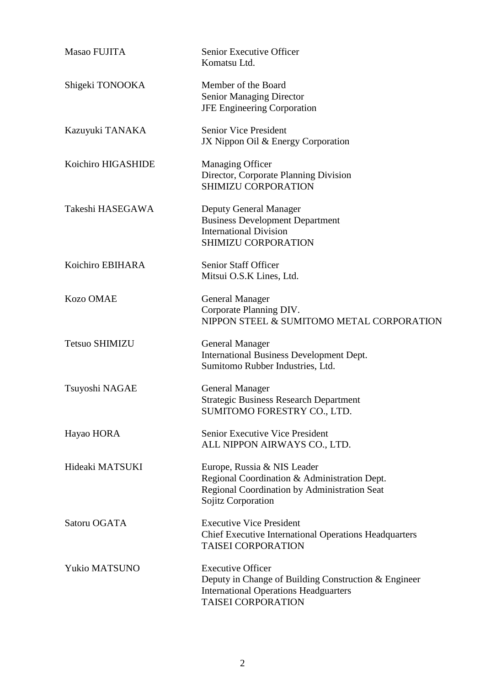| Masao FUJITA          | Senior Executive Officer<br>Komatsu Ltd.                                                                                                                      |
|-----------------------|---------------------------------------------------------------------------------------------------------------------------------------------------------------|
| Shigeki TONOOKA       | Member of the Board<br><b>Senior Managing Director</b><br><b>JFE Engineering Corporation</b>                                                                  |
| Kazuyuki TANAKA       | <b>Senior Vice President</b><br>JX Nippon Oil & Energy Corporation                                                                                            |
| Koichiro HIGASHIDE    | <b>Managing Officer</b><br>Director, Corporate Planning Division<br>SHIMIZU CORPORATION                                                                       |
| Takeshi HASEGAWA      | Deputy General Manager<br><b>Business Development Department</b><br><b>International Division</b><br>SHIMIZU CORPORATION                                      |
| Koichiro EBIHARA      | Senior Staff Officer<br>Mitsui O.S.K Lines, Ltd.                                                                                                              |
| <b>Kozo OMAE</b>      | <b>General Manager</b><br>Corporate Planning DIV.<br>NIPPON STEEL & SUMITOMO METAL CORPORATION                                                                |
| <b>Tetsuo SHIMIZU</b> | <b>General Manager</b><br>International Business Development Dept.<br>Sumitomo Rubber Industries, Ltd.                                                        |
| Tsuyoshi NAGAE        | <b>General Manager</b><br><b>Strategic Business Research Department</b><br>SUMITOMO FORESTRY CO., LTD.                                                        |
| Hayao HORA            | Senior Executive Vice President<br>ALL NIPPON AIRWAYS CO., LTD.                                                                                               |
| Hideaki MATSUKI       | Europe, Russia & NIS Leader<br>Regional Coordination & Administration Dept.<br>Regional Coordination by Administration Seat<br>Sojitz Corporation             |
| Satoru OGATA          | <b>Executive Vice President</b><br><b>Chief Executive International Operations Headquarters</b><br><b>TAISEI CORPORATION</b>                                  |
| Yukio MATSUNO         | <b>Executive Officer</b><br>Deputy in Change of Building Construction & Engineer<br><b>International Operations Headguarters</b><br><b>TAISEI CORPORATION</b> |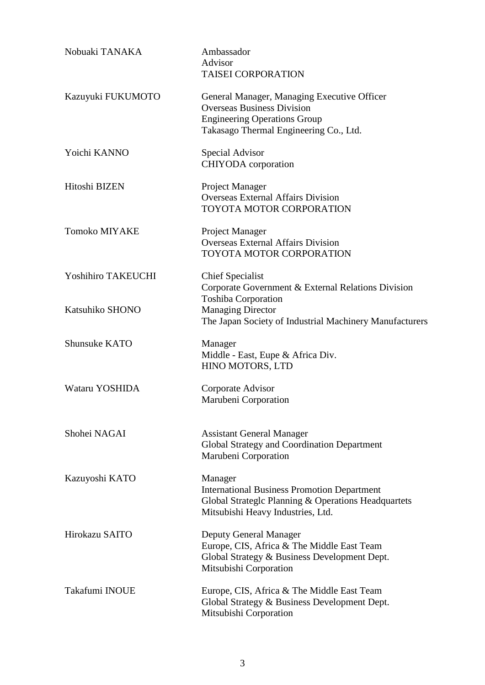| Nobuaki TANAKA            | Ambassador<br>Advisor<br><b>TAISEI CORPORATION</b>                                                                                                                |
|---------------------------|-------------------------------------------------------------------------------------------------------------------------------------------------------------------|
| Kazuyuki FUKUMOTO         | General Manager, Managing Executive Officer<br><b>Overseas Business Division</b><br><b>Engineering Operations Group</b><br>Takasago Thermal Engineering Co., Ltd. |
| Yoichi KANNO              | Special Advisor<br><b>CHIYODA</b> corporation                                                                                                                     |
| Hitoshi BIZEN             | Project Manager<br><b>Overseas External Affairs Division</b><br><b>TOYOTA MOTOR CORPORATION</b>                                                                   |
| <b>Tomoko MIYAKE</b>      | <b>Project Manager</b><br><b>Overseas External Affairs Division</b><br>TOYOTA MOTOR CORPORATION                                                                   |
| <b>Yoshihiro TAKEUCHI</b> | <b>Chief Specialist</b><br>Corporate Government & External Relations Division                                                                                     |
| Katsuhiko SHONO           | <b>Toshiba Corporation</b><br><b>Managing Director</b><br>The Japan Society of Industrial Machinery Manufacturers                                                 |
| <b>Shunsuke KATO</b>      | Manager<br>Middle - East, Eupe & Africa Div.<br>HINO MOTORS, LTD                                                                                                  |
| Wataru YOSHIDA            | Corporate Advisor<br>Marubeni Corporation                                                                                                                         |
| Shohei NAGAI              | <b>Assistant General Manager</b><br>Global Strategy and Coordination Department<br>Marubeni Corporation                                                           |
| Kazuyoshi KATO            | Manager<br><b>International Business Promotion Department</b><br>Global Strateglc Planning & Operations Headquartets<br>Mitsubishi Heavy Industries, Ltd.         |
| Hirokazu SAITO            | Deputy General Manager<br>Europe, CIS, Africa & The Middle East Team<br>Global Strategy & Business Development Dept.<br>Mitsubishi Corporation                    |
| Takafumi INOUE            | Europe, CIS, Africa & The Middle East Team<br>Global Strategy & Business Development Dept.<br>Mitsubishi Corporation                                              |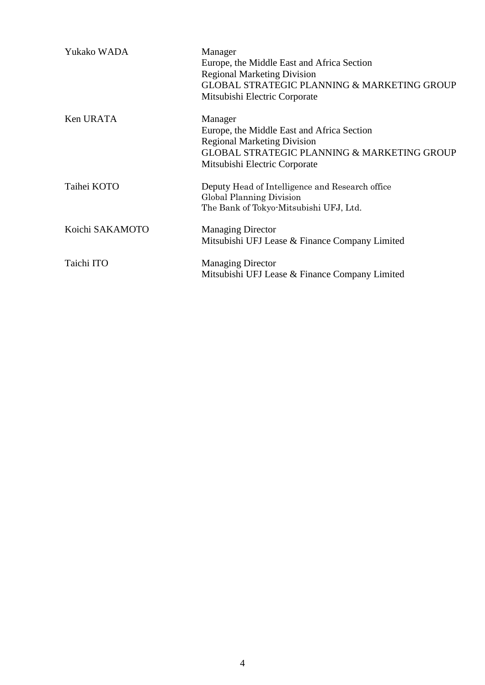| Yukako WADA     | Manager<br>Europe, the Middle East and Africa Section<br><b>Regional Marketing Division</b><br><b>GLOBAL STRATEGIC PLANNING &amp; MARKETING GROUP</b><br>Mitsubishi Electric Corporate |
|-----------------|----------------------------------------------------------------------------------------------------------------------------------------------------------------------------------------|
| Ken URATA       | Manager<br>Europe, the Middle East and Africa Section<br><b>Regional Marketing Division</b><br><b>GLOBAL STRATEGIC PLANNING &amp; MARKETING GROUP</b><br>Mitsubishi Electric Corporate |
| Taihei KOTO     | Deputy Head of Intelligence and Research office<br>Global Planning Division<br>The Bank of Tokyo-Mitsubishi UFJ, Ltd.                                                                  |
| Koichi SAKAMOTO | <b>Managing Director</b><br>Mitsubishi UFJ Lease & Finance Company Limited                                                                                                             |
| Taichi ITO      | <b>Managing Director</b><br>Mitsubishi UFJ Lease & Finance Company Limited                                                                                                             |